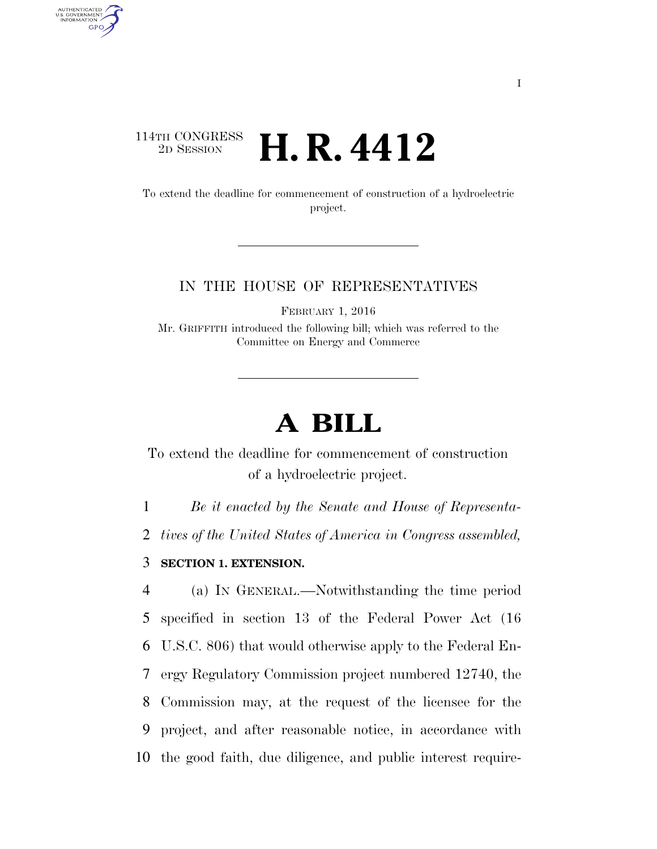## 114TH CONGRESS <sup>2D SESSION</sup> **H. R. 4412**

AUTHENTICATED<br>U.S. GOVERNMENT<br>INFORMATION GPO

> To extend the deadline for commencement of construction of a hydroelectric project.

## IN THE HOUSE OF REPRESENTATIVES

FEBRUARY 1, 2016

Mr. GRIFFITH introduced the following bill; which was referred to the Committee on Energy and Commerce

## **A BILL**

To extend the deadline for commencement of construction of a hydroelectric project.

1 *Be it enacted by the Senate and House of Representa-*

2 *tives of the United States of America in Congress assembled,* 

3 **SECTION 1. EXTENSION.** 

 (a) IN GENERAL.—Notwithstanding the time period specified in section 13 of the Federal Power Act (16 U.S.C. 806) that would otherwise apply to the Federal En- ergy Regulatory Commission project numbered 12740, the Commission may, at the request of the licensee for the project, and after reasonable notice, in accordance with the good faith, due diligence, and public interest require